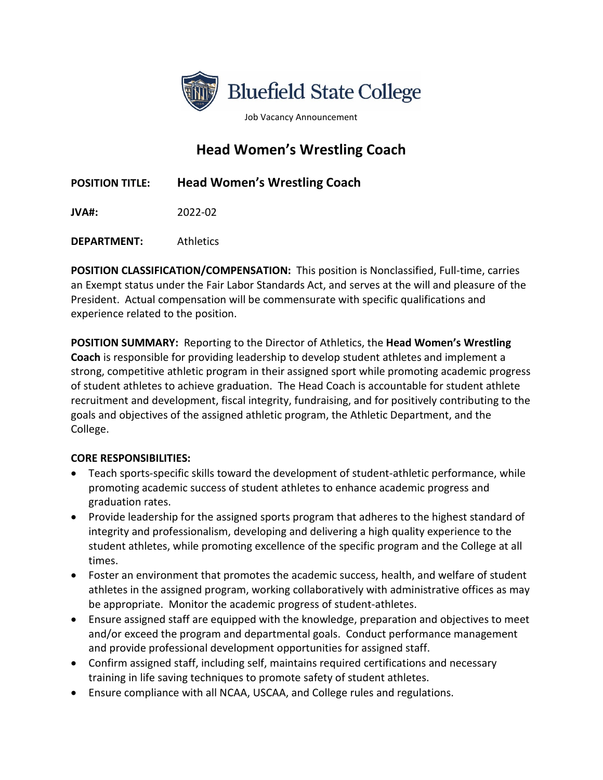

Job Vacancy Announcement

## **Head Women's Wrestling Coach**

## **POSITION TITLE: Head Women's Wrestling Coach**

**JVA#:** 2022-02

**DEPARTMENT:** Athletics

**POSITION CLASSIFICATION/COMPENSATION:** This position is Nonclassified, Full-time, carries an Exempt status under the Fair Labor Standards Act, and serves at the will and pleasure of the President. Actual compensation will be commensurate with specific qualifications and experience related to the position.

**POSITION SUMMARY:** Reporting to the Director of Athletics, the **Head Women's Wrestling Coach** is responsible for providing leadership to develop student athletes and implement a strong, competitive athletic program in their assigned sport while promoting academic progress of student athletes to achieve graduation. The Head Coach is accountable for student athlete recruitment and development, fiscal integrity, fundraising, and for positively contributing to the goals and objectives of the assigned athletic program, the Athletic Department, and the College.

## **CORE RESPONSIBILITIES:**

- Teach sports-specific skills toward the development of student-athletic performance, while promoting academic success of student athletes to enhance academic progress and graduation rates.
- Provide leadership for the assigned sports program that adheres to the highest standard of integrity and professionalism, developing and delivering a high quality experience to the student athletes, while promoting excellence of the specific program and the College at all times.
- Foster an environment that promotes the academic success, health, and welfare of student athletes in the assigned program, working collaboratively with administrative offices as may be appropriate. Monitor the academic progress of student-athletes.
- Ensure assigned staff are equipped with the knowledge, preparation and objectives to meet and/or exceed the program and departmental goals. Conduct performance management and provide professional development opportunities for assigned staff.
- Confirm assigned staff, including self, maintains required certifications and necessary training in life saving techniques to promote safety of student athletes.
- Ensure compliance with all NCAA, USCAA, and College rules and regulations.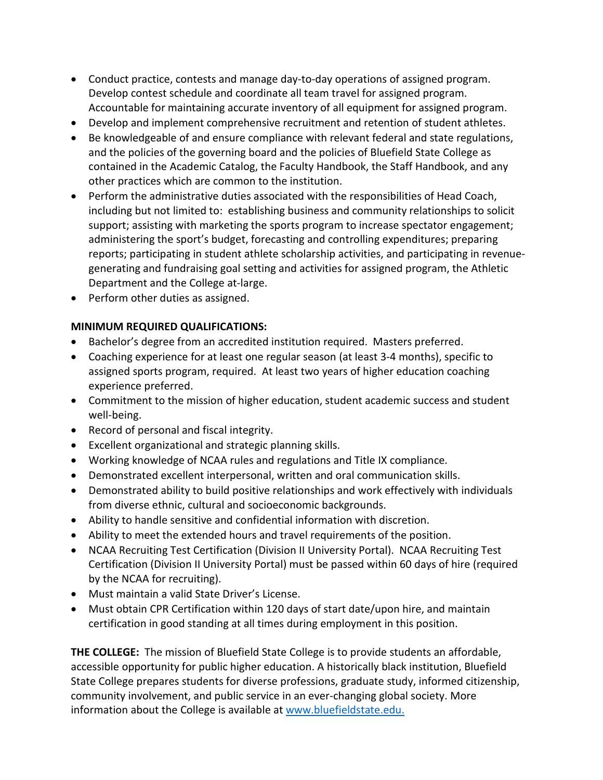- Conduct practice, contests and manage day-to-day operations of assigned program. Develop contest schedule and coordinate all team travel for assigned program. Accountable for maintaining accurate inventory of all equipment for assigned program.
- Develop and implement comprehensive recruitment and retention of student athletes.
- Be knowledgeable of and ensure compliance with relevant federal and state regulations, and the policies of the governing board and the policies of Bluefield State College as contained in the Academic Catalog, the Faculty Handbook, the Staff Handbook, and any other practices which are common to the institution.
- Perform the administrative duties associated with the responsibilities of Head Coach, including but not limited to: establishing business and community relationships to solicit support; assisting with marketing the sports program to increase spectator engagement; administering the sport's budget, forecasting and controlling expenditures; preparing reports; participating in student athlete scholarship activities, and participating in revenuegenerating and fundraising goal setting and activities for assigned program, the Athletic Department and the College at-large.
- Perform other duties as assigned.

## **MINIMUM REQUIRED QUALIFICATIONS:**

- Bachelor's degree from an accredited institution required. Masters preferred.
- Coaching experience for at least one regular season (at least 3-4 months), specific to assigned sports program, required. At least two years of higher education coaching experience preferred.
- Commitment to the mission of higher education, student academic success and student well-being.
- Record of personal and fiscal integrity.
- Excellent organizational and strategic planning skills.
- Working knowledge of NCAA rules and regulations and Title IX compliance.
- Demonstrated excellent interpersonal, written and oral communication skills.
- Demonstrated ability to build positive relationships and work effectively with individuals from diverse ethnic, cultural and socioeconomic backgrounds.
- Ability to handle sensitive and confidential information with discretion.
- Ability to meet the extended hours and travel requirements of the position.
- NCAA Recruiting Test Certification (Division II University Portal). NCAA Recruiting Test Certification (Division II University Portal) must be passed within 60 days of hire (required by the NCAA for recruiting).
- Must maintain a valid State Driver's License.
- Must obtain CPR Certification within 120 days of start date/upon hire, and maintain certification in good standing at all times during employment in this position.

**THE COLLEGE:** The mission of Bluefield State College is to provide students an affordable, accessible opportunity for public higher education. A historically black institution, Bluefield State College prepares students for diverse professions, graduate study, informed citizenship, community involvement, and public service in an ever-changing global society. More information about the College is available at [www.bluefieldstate.edu.](http://www.bluefieldstate.edu/)